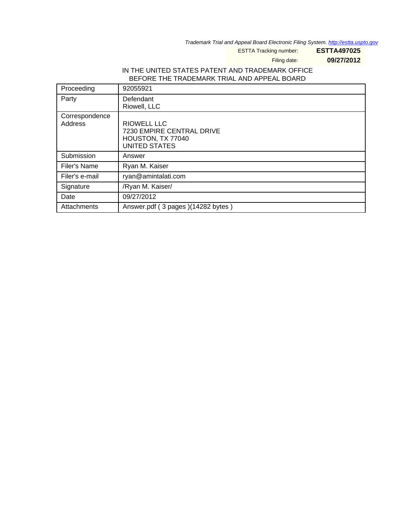Trademark Trial and Appeal Board Electronic Filing System. <http://estta.uspto.gov>

ESTTA Tracking number: **ESTTA497025**

Filing date: **09/27/2012**

### IN THE UNITED STATES PATENT AND TRADEMARK OFFICE BEFORE THE TRADEMARK TRIAL AND APPEAL BOARD

| Proceeding                | 92055921                                                                                            |
|---------------------------|-----------------------------------------------------------------------------------------------------|
| Party                     | Defendant<br>Riowell, LLC                                                                           |
| Correspondence<br>Address | <b>RIOWELL LLC</b><br><b>7230 EMPIRE CENTRAL DRIVE</b><br>HOUSTON, TX 77040<br><b>UNITED STATES</b> |
| Submission                | Answer                                                                                              |
| Filer's Name              | Ryan M. Kaiser                                                                                      |
| Filer's e-mail            | ryan@amintalati.com                                                                                 |
| Signature                 | /Ryan M. Kaiser/                                                                                    |
| Date                      | 09/27/2012                                                                                          |
| Attachments               | Answer.pdf (3 pages) (14282 bytes)                                                                  |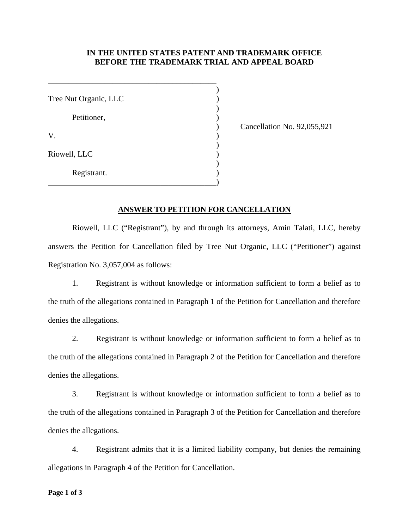#### **IN THE UNITED STATES PATENT AND TRADEMARK OFFICE BEFORE THE TRADEMARK TRIAL AND APPEAL BOARD**

 $)$ Tree Nut Organic, LLC (1998)  $)$ Petitioner,  $\qquad \qquad$ )  $V.$  )  $)$ Riowell, LLC (2002)  $)$  Registrant. ) \_\_\_\_\_\_\_\_\_\_\_\_\_\_\_\_\_\_\_\_\_\_\_\_\_\_\_\_\_\_\_\_\_\_\_\_\_\_\_\_\_\_)

\_\_\_\_\_\_\_\_\_\_\_\_\_\_\_\_\_\_\_\_\_\_\_\_\_\_\_\_\_\_\_\_\_\_\_\_\_\_\_\_\_\_

) Cancellation No. 92,055,921

#### **ANSWER TO PETITION FOR CANCELLATION**

 Riowell, LLC ("Registrant"), by and through its attorneys, Amin Talati, LLC, hereby answers the Petition for Cancellation filed by Tree Nut Organic, LLC ("Petitioner") against Registration No. 3,057,004 as follows:

 1. Registrant is without knowledge or information sufficient to form a belief as to the truth of the allegations contained in Paragraph 1 of the Petition for Cancellation and therefore denies the allegations.

 2. Registrant is without knowledge or information sufficient to form a belief as to the truth of the allegations contained in Paragraph 2 of the Petition for Cancellation and therefore denies the allegations.

 3. Registrant is without knowledge or information sufficient to form a belief as to the truth of the allegations contained in Paragraph 3 of the Petition for Cancellation and therefore denies the allegations.

 4. Registrant admits that it is a limited liability company, but denies the remaining allegations in Paragraph 4 of the Petition for Cancellation.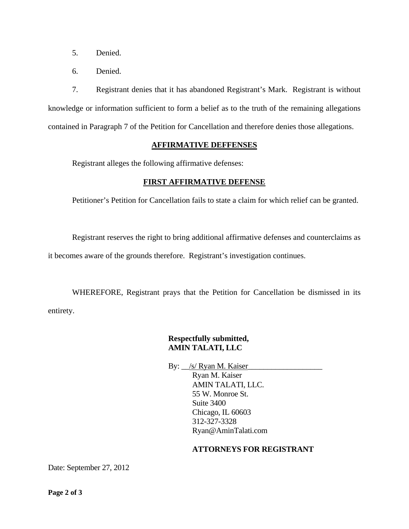- 5. Denied.
- 6. Denied.

 7. Registrant denies that it has abandoned Registrant's Mark. Registrant is without knowledge or information sufficient to form a belief as to the truth of the remaining allegations contained in Paragraph 7 of the Petition for Cancellation and therefore denies those allegations.

#### **AFFIRMATIVE DEFFENSES**

Registrant alleges the following affirmative defenses:

## **FIRST AFFIRMATIVE DEFENSE**

Petitioner's Petition for Cancellation fails to state a claim for which relief can be granted.

Registrant reserves the right to bring additional affirmative defenses and counterclaims as

it becomes aware of the grounds therefore. Registrant's investigation continues.

 WHEREFORE, Registrant prays that the Petition for Cancellation be dismissed in its entirety.

# **Respectfully submitted, AMIN TALATI, LLC**

By:  $\angle$ /s/ Ryan M. Kaiser Ryan M. Kaiser AMIN TALATI, LLC. 55 W. Monroe St. Suite 3400 Chicago, IL 60603 312-327-3328 Ryan@AminTalati.com

### **ATTORNEYS FOR REGISTRANT**

Date: September 27, 2012